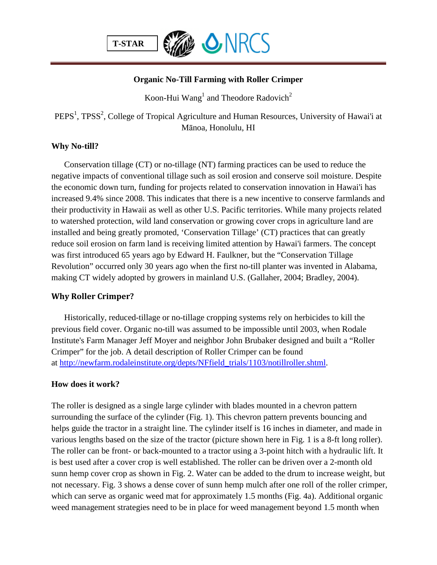

## **Organic No-Till Farming with Roller Crimper**

Koon-Hui Wang<sup>1</sup> and Theodore Radovich<sup>2</sup>

PEPS<sup>1</sup>, TPSS<sup>2</sup>, College of Tropical Agriculture and Human Resources, University of Hawai'i at Mānoa, Honolulu, HI

# **Why No-till?**

Conservation tillage (CT) or no-tillage (NT) farming practices can be used to reduce the negative impacts of conventional tillage such as soil erosion and conserve soil moisture. Despite the economic down turn, funding for projects related to conservation innovation in Hawai'i has increased 9.4% since 2008. This indicates that there is a new incentive to conserve farmlands and their productivity in Hawaii as well as other U.S. Pacific territories. While many projects related to watershed protection, wild land conservation or growing cover crops in agriculture land are installed and being greatly promoted, 'Conservation Tillage' (CT) practices that can greatly reduce soil erosion on farm land is receiving limited attention by Hawai'i farmers. The concept was first introduced 65 years ago by Edward H. Faulkner, but the "Conservation Tillage Revolution" occurred only 30 years ago when the first no-till planter was invented in Alabama, making CT widely adopted by growers in mainland U.S. (Gallaher, 2004; Bradley, 2004).

# **Why Roller Crimper?**

Historically, reduced-tillage or no-tillage cropping systems rely on herbicides to kill the previous field cover. Organic no-till was assumed to be impossible until 2003, when Rodale Institute's Farm Manager Jeff Moyer and neighbor John Brubaker designed and built a "Roller Crimper" for the job. A detail description of Roller Crimper can be found at [http://newfarm.rodaleinstitute.org/depts/NFfield\\_trials/1103/notillroller.shtml.](http://newfarm.rodaleinstitute.org/depts/NFfield_trials/1103/notillroller.shtml)

### **How does it work?**

The roller is designed as a single large cylinder with blades mounted in a chevron pattern surrounding the surface of the cylinder (Fig. 1). This chevron pattern prevents bouncing and helps guide the tractor in a straight line. The cylinder itself is 16 inches in diameter, and made in various lengths based on the size of the tractor (picture shown here in Fig. 1 is a 8-ft long roller). The roller can be front- or back-mounted to a tractor using a 3-point hitch with a hydraulic lift. It is best used after a cover crop is well established. The roller can be driven over a 2-month old sunn hemp cover crop as shown in Fig. 2. Water can be added to the drum to increase weight, but not necessary. Fig. 3 shows a dense cover of sunn hemp mulch after one roll of the roller crimper, which can serve as organic weed mat for approximately 1.5 months (Fig. 4a). Additional organic weed management strategies need to be in place for weed management beyond 1.5 month when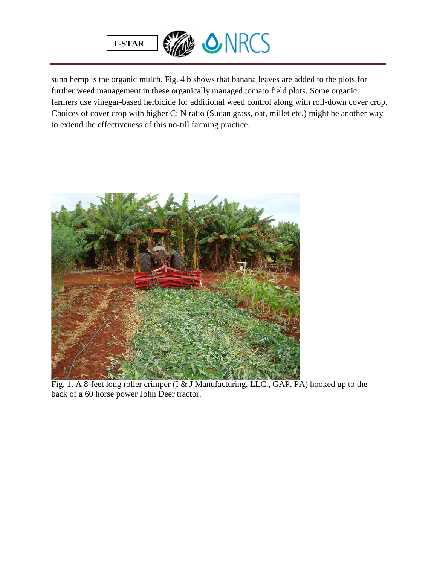

sunn hemp is the organic mulch. Fig. 4 b shows that banana leaves are added to the plots for further weed management in these organically managed tomato field plots. Some organic farmers use vinegar-based herbicide for additional weed control along with roll-down cover crop. Choices of cover crop with higher C: N ratio (Sudan grass, oat, millet etc.) might be another way to extend the effectiveness of this no-till farming practice.



Fig. 1. A 8-feet long roller crimper (I & J Manufacturing, LLC., GAP, PA) hooked up to the back of a 60 horse power John Deer tractor.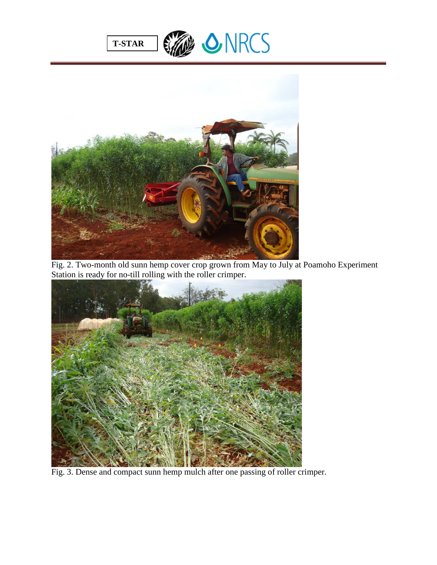





Fig. 2. Two-month old sunn hemp cover crop grown from May to July at Poamoho Experiment Station is ready for no-till rolling with the roller crimper.



Fig. 3. Dense and compact sunn hemp mulch after one passing of roller crimper.